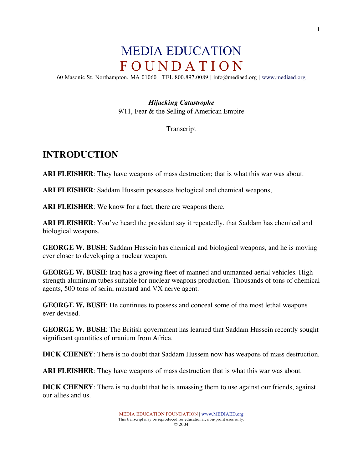# MEDIA EDUCATION F O U N D A T I O N

60 Masonic St. Northampton, MA 01060 | TEL 800.897.0089 | info@mediaed.org | www.mediaed.org

### *Hijacking Catastrophe*

9/11, Fear & the Selling of American Empire

#### Transcript

### **INTRODUCTION**

**ARI FLEISHER**: They have weapons of mass destruction; that is what this war was about.

**ARI FLEISHER**: Saddam Hussein possesses biological and chemical weapons,

**ARI FLEISHER**: We know for a fact, there are weapons there.

**ARI FLEISHER**: You've heard the president say it repeatedly, that Saddam has chemical and biological weapons.

**GEORGE W. BUSH**: Saddam Hussein has chemical and biological weapons, and he is moving ever closer to developing a nuclear weapon.

**GEORGE W. BUSH**: Iraq has a growing fleet of manned and unmanned aerial vehicles. High strength aluminum tubes suitable for nuclear weapons production. Thousands of tons of chemical agents, 500 tons of serin, mustard and VX nerve agent.

**GEORGE W. BUSH**: He continues to possess and conceal some of the most lethal weapons ever devised.

**GEORGE W. BUSH**: The British government has learned that Saddam Hussein recently sought significant quantities of uranium from Africa.

**DICK CHENEY**: There is no doubt that Saddam Hussein now has weapons of mass destruction.

**ARI FLEISHER**: They have weapons of mass destruction that is what this war was about.

**DICK CHENEY**: There is no doubt that he is amassing them to use against our friends, against our allies and us.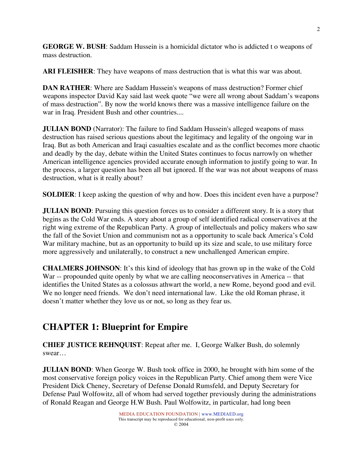**GEORGE W. BUSH**: Saddam Hussein is a homicidal dictator who is addicted t o weapons of mass destruction.

**ARI FLEISHER**: They have weapons of mass destruction that is what this war was about.

**DAN RATHER**: Where are Saddam Hussein's weapons of mass destruction? Former chief weapons inspector David Kay said last week quote "we were all wrong about Saddam's weapons of mass destruction". By now the world knows there was a massive intelligence failure on the war in Iraq. President Bush and other countries....

**JULIAN BOND** (Narrator): The failure to find Saddam Hussein's alleged weapons of mass destruction has raised serious questions about the legitimacy and legality of the ongoing war in Iraq. But as both American and Iraqi casualties escalate and as the conflict becomes more chaotic and deadly by the day, debate within the United States continues to focus narrowly on whether American intelligence agencies provided accurate enough information to justify going to war. In the process, a larger question has been all but ignored. If the war was not about weapons of mass destruction, what is it really about?

**SOLDIER:** I keep asking the question of why and how. Does this incident even have a purpose?

**JULIAN BOND**: Pursuing this question forces us to consider a different story. It is a story that begins as the Cold War ends. A story about a group of self identified radical conservatives at the right wing extreme of the Republican Party. A group of intellectuals and policy makers who saw the fall of the Soviet Union and communism not as a opportunity to scale back America's Cold War military machine, but as an opportunity to build up its size and scale, to use military force more aggressively and unilaterally, to construct a new unchallenged American empire.

**CHALMERS JOHNSON**: It's this kind of ideology that has grown up in the wake of the Cold War -- propounded quite openly by what we are calling neoconservatives in America -- that identifies the United States as a colossus athwart the world, a new Rome, beyond good and evil. We no longer need friends. We don't need international law. Like the old Roman phrase, it doesn't matter whether they love us or not, so long as they fear us.

# **CHAPTER 1: Blueprint for Empire**

**CHIEF JUSTICE REHNQUIST**: Repeat after me. I, George Walker Bush, do solemnly swear…

**JULIAN BOND**: When George W. Bush took office in 2000, he brought with him some of the most conservative foreign policy voices in the Republican Party. Chief among them were Vice President Dick Cheney, Secretary of Defense Donald Rumsfeld, and Deputy Secretary for Defense Paul Wolfowitz, all of whom had served together previously during the administrations of Ronald Reagan and George H.W Bush. Paul Wolfowitz, in particular, had long been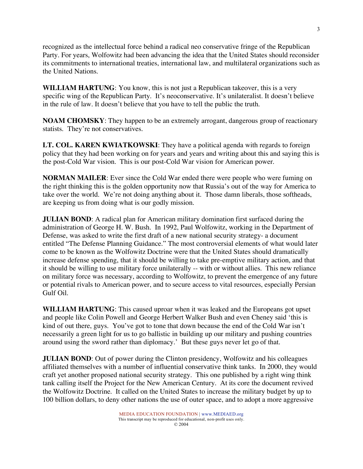recognized as the intellectual force behind a radical neo conservative fringe of the Republican Party. For years, Wolfowitz had been advancing the idea that the United States should reconsider its commitments to international treaties, international law, and multilateral organizations such as the United Nations.

**WILLIAM HARTUNG**: You know, this is not just a Republican takeover, this is a very specific wing of the Republican Party. It's neoconservative. It's unilateralist. It doesn't believe in the rule of law. It doesn't believe that you have to tell the public the truth.

**NOAM CHOMSKY**: They happen to be an extremely arrogant, dangerous group of reactionary statists. They're not conservatives.

**LT. COL. KAREN KWIATKOWSKI**: They have a political agenda with regards to foreign policy that they had been working on for years and years and writing about this and saying this is the post-Cold War vision. This is our post-Cold War vision for American power.

**NORMAN MAILER**: Ever since the Cold War ended there were people who were fuming on the right thinking this is the golden opportunity now that Russia's out of the way for America to take over the world. We're not doing anything about it. Those damn liberals, those softheads, are keeping us from doing what is our godly mission.

**JULIAN BOND**: A radical plan for American military domination first surfaced during the administration of George H. W. Bush. In 1992, Paul Wolfowitz, working in the Department of Defense, was asked to write the first draft of a new national security strategy- a document entitled "The Defense Planning Guidance." The most controversial elements of what would later come to be known as the Wolfowitz Doctrine were that the United States should dramatically increase defense spending, that it should be willing to take pre-emptive military action, and that it should be willing to use military force unilaterally -- with or without allies. This new reliance on military force was necessary, according to Wolfowitz, to prevent the emergence of any future or potential rivals to American power, and to secure access to vital resources, especially Persian Gulf Oil.

**WILLIAM HARTUNG**: This caused uproar when it was leaked and the Europeans got upset and people like Colin Powell and George Herbert Walker Bush and even Cheney said 'this is kind of out there, guys. You've got to tone that down because the end of the Cold War isn't necessarily a green light for us to go ballistic in building up our military and pushing countries around using the sword rather than diplomacy.' But these guys never let go of that.

**JULIAN BOND**: Out of power during the Clinton presidency, Wolfowitz and his colleagues affiliated themselves with a number of influential conservative think tanks. In 2000, they would craft yet another proposed national security strategy. This one published by a right wing think tank calling itself the Project for the New American Century. At its core the document revived the Wolfowitz Doctrine. It called on the United States to increase the military budget by up to 100 billion dollars, to deny other nations the use of outer space, and to adopt a more aggressive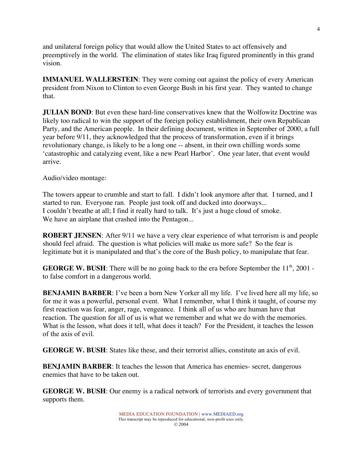and unilateral foreign policy that would allow the United States to act offensively and preemptively in the world. The elimination of states like Iraq figured prominently in this grand vision.

**IMMANUEL WALLERSTEIN**: They were coming out against the policy of every American president from Nixon to Clinton to even George Bush in his first year. They wanted to change that.

**JULIAN BOND**: But even these hard-line conservatives knew that the Wolfowitz Doctrine was likely too radical to win the support of the foreign policy establishment, their own Republican Party, and the American people. In their defining document, written in September of 2000, a full year before 9/11, they acknowledged that the process of transformation, even if it brings revolutionary change, is likely to be a long one -- absent, in their own chilling words some 'catastrophic and catalyzing event, like a new Pearl Harbor'. One year later, that event would arrive.

Audio/video montage:

The towers appear to crumble and start to fall. I didn't look anymore after that. I turned, and I started to run. Everyone ran. People just took off and ducked into doorways... I couldn't breathe at all; I find it really hard to talk. It's just a huge cloud of smoke. We have an airplane that crashed into the Pentagon...

**ROBERT JENSEN**: After 9/11 we have a very clear experience of what terrorism is and people should feel afraid. The question is what policies will make us more safe? So the fear is legitimate but it is manipulated and that's the core of the Bush policy, to manipulate that fear.

**GEORGE W. BUSH**: There will be no going back to the era before September the 11<sup>th</sup>, 2001 to false comfort in a dangerous world.

**BENJAMIN BARBER**: I've been a born New Yorker all my life. I've lived here all my life, so for me it was a powerful, personal event. What I remember, what I think it taught, of course my first reaction was fear, anger, rage, vengeance. I think all of us who are human have that reaction. The question for all of us is what we remember and what we do with the memories. What is the lesson, what does it tell, what does it teach? For the President, it teaches the lesson of the axis of evil.

**GEORGE W. BUSH**: States like these, and their terrorist allies, constitute an axis of evil.

**BENJAMIN BARBER**: It teaches the lesson that America has enemies- secret, dangerous enemies that have to be taken out.

**GEORGE W. BUSH**: Our enemy is a radical network of terrorists and every government that supports them.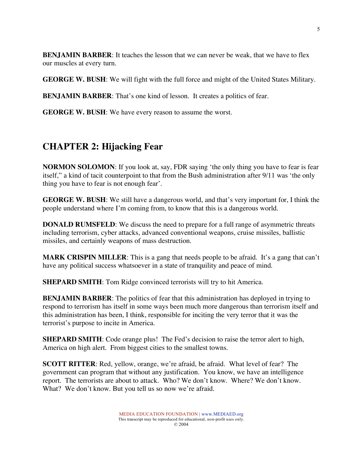**BENJAMIN BARBER**: It teaches the lesson that we can never be weak, that we have to flex our muscles at every turn.

**GEORGE W. BUSH**: We will fight with the full force and might of the United States Military.

**BENJAMIN BARBER**: That's one kind of lesson. It creates a politics of fear.

**GEORGE W. BUSH**: We have every reason to assume the worst.

# **CHAPTER 2: Hijacking Fear**

**NORMON SOLOMON**: If you look at, say, FDR saying 'the only thing you have to fear is fear itself," a kind of tacit counterpoint to that from the Bush administration after 9/11 was 'the only thing you have to fear is not enough fear'.

**GEORGE W. BUSH**: We still have a dangerous world, and that's very important for, I think the people understand where I'm coming from, to know that this is a dangerous world.

**DONALD RUMSFELD**: We discuss the need to prepare for a full range of asymmetric threats including terrorism, cyber attacks, advanced conventional weapons, cruise missiles, ballistic missiles, and certainly weapons of mass destruction.

**MARK CRISPIN MILLER**: This is a gang that needs people to be afraid. It's a gang that can't have any political success whatsoever in a state of tranquility and peace of mind.

**SHEPARD SMITH:** Tom Ridge convinced terrorists will try to hit America.

**BENJAMIN BARBER**: The politics of fear that this administration has deployed in trying to respond to terrorism has itself in some ways been much more dangerous than terrorism itself and this administration has been, I think, responsible for inciting the very terror that it was the terrorist's purpose to incite in America.

**SHEPARD SMITH**: Code orange plus! The Fed's decision to raise the terror alert to high, America on high alert. From biggest cities to the smallest towns.

**SCOTT RITTER**: Red, yellow, orange, we're afraid, be afraid. What level of fear? The government can program that without any justification. You know, we have an intelligence report. The terrorists are about to attack. Who? We don't know. Where? We don't know. What? We don't know. But you tell us so now we're afraid.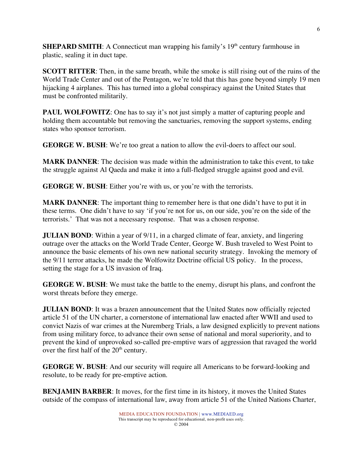**SHEPARD SMITH:** A Connecticut man wrapping his family's 19<sup>th</sup> century farmhouse in plastic, sealing it in duct tape.

**SCOTT RITTER:** Then, in the same breath, while the smoke is still rising out of the ruins of the World Trade Center and out of the Pentagon, we're told that this has gone beyond simply 19 men hijacking 4 airplanes. This has turned into a global conspiracy against the United States that must be confronted militarily.

**PAUL WOLFOWITZ:** One has to say it's not just simply a matter of capturing people and holding them accountable but removing the sanctuaries, removing the support systems, ending states who sponsor terrorism.

**GEORGE W. BUSH**: We're too great a nation to allow the evil-doers to affect our soul.

**MARK DANNER**: The decision was made within the administration to take this event, to take the struggle against Al Qaeda and make it into a full-fledged struggle against good and evil.

**GEORGE W. BUSH**: Either you're with us, or you're with the terrorists.

**MARK DANNER**: The important thing to remember here is that one didn't have to put it in these terms. One didn't have to say 'if you're not for us, on our side, you're on the side of the terrorists.' That was not a necessary response. That was a chosen response.

**JULIAN BOND**: Within a year of 9/11, in a charged climate of fear, anxiety, and lingering outrage over the attacks on the World Trade Center, George W. Bush traveled to West Point to announce the basic elements of his own new national security strategy. Invoking the memory of the 9/11 terror attacks, he made the Wolfowitz Doctrine official US policy. In the process, setting the stage for a US invasion of Iraq.

**GEORGE W. BUSH**: We must take the battle to the enemy, disrupt his plans, and confront the worst threats before they emerge.

**JULIAN BOND**: It was a brazen announcement that the United States now officially rejected article 51 of the UN charter, a cornerstone of international law enacted after WWII and used to convict Nazis of war crimes at the Nuremberg Trials, a law designed explicitly to prevent nations from using military force, to advance their own sense of national and moral superiority, and to prevent the kind of unprovoked so-called pre-emptive wars of aggression that ravaged the world over the first half of the  $20<sup>th</sup>$  century.

**GEORGE W. BUSH**: And our security will require all Americans to be forward-looking and resolute, to be ready for pre-emptive action.

**BENJAMIN BARBER**: It moves, for the first time in its history, it moves the United States outside of the compass of international law, away from article 51 of the United Nations Charter,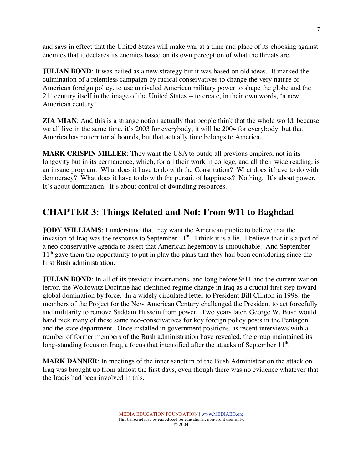and says in effect that the United States will make war at a time and place of its choosing against enemies that it declares its enemies based on its own perception of what the threats are.

**JULIAN BOND**: It was hailed as a new strategy but it was based on old ideas. It marked the culmination of a relentless campaign by radical conservatives to change the very nature of American foreign policy, to use unrivaled American military power to shape the globe and the 21<sup>st</sup> century itself in the image of the United States -- to create, in their own words, 'a new American century'.

**ZIA MIAN**: And this is a strange notion actually that people think that the whole world, because we all live in the same time, it's 2003 for everybody, it will be 2004 for everybody, but that America has no territorial bounds, but that actually time belongs to America.

**MARK CRISPIN MILLER**: They want the USA to outdo all previous empires, not in its longevity but in its permanence, which, for all their work in college, and all their wide reading, is an insane program. What does it have to do with the Constitution? What does it have to do with democracy? What does it have to do with the pursuit of happiness? Nothing. It's about power. It's about domination. It's about control of dwindling resources.

# **CHAPTER 3: Things Related and Not: From 9/11 to Baghdad**

**JODY WILLIAMS**: I understand that they want the American public to believe that the invasion of Iraq was the response to September  $11<sup>th</sup>$ . I think it is a lie. I believe that it's a part of a neo-conservative agenda to assert that American hegemony is untouchable. And September  $11<sup>th</sup>$  gave them the opportunity to put in play the plans that they had been considering since the first Bush administration.

**JULIAN BOND**: In all of its previous incarnations, and long before 9/11 and the current war on terror, the Wolfowitz Doctrine had identified regime change in Iraq as a crucial first step toward global domination by force. In a widely circulated letter to President Bill Clinton in 1998, the members of the Project for the New American Century challenged the President to act forcefully and militarily to remove Saddam Hussein from power. Two years later, George W. Bush would hand pick many of these same neo-conservatives for key foreign policy posts in the Pentagon and the state department. Once installed in government positions, as recent interviews with a number of former members of the Bush administration have revealed, the group maintained its long-standing focus on Iraq, a focus that intensified after the attacks of September  $11<sup>th</sup>$ .

**MARK DANNER**: In meetings of the inner sanctum of the Bush Administration the attack on Iraq was brought up from almost the first days, even though there was no evidence whatever that the Iraqis had been involved in this.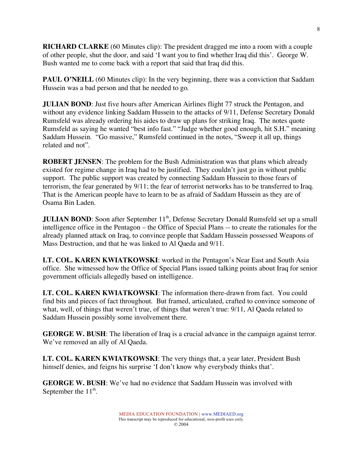**RICHARD CLARKE** (60 Minutes clip): The president dragged me into a room with a couple of other people, shut the door, and said 'I want you to find whether Iraq did this'. George W. Bush wanted me to come back with a report that said that Iraq did this.

**PAUL O'NEILL** (60 Minutes clip): In the very beginning, there was a conviction that Saddam Hussein was a bad person and that he needed to go.

**JULIAN BOND**: Just five hours after American Airlines flight 77 struck the Pentagon, and without any evidence linking Saddam Hussein to the attacks of 9/11, Defense Secretary Donald Rumsfeld was already ordering his aides to draw up plans for striking Iraq. The notes quote Rumsfeld as saying he wanted "best info fast." "Judge whether good enough, hit S.H." meaning Saddam Hussein. "Go massive," Rumsfeld continued in the notes, "Sweep it all up, things related and not".

**ROBERT JENSEN**: The problem for the Bush Administration was that plans which already existed for regime change in Iraq had to be justified. They couldn't just go in without public support. The public support was created by connecting Saddam Hussein to those fears of terrorism, the fear generated by 9/11; the fear of terrorist networks has to be transferred to Iraq. That is the American people have to learn to be as afraid of Saddam Hussein as they are of Osama Bin Laden.

**JULIAN BOND**: Soon after September 11<sup>th</sup>, Defense Secretary Donald Rumsfeld set up a small intelligence office in the Pentagon – the Office of Special Plans -- to create the rationales for the already planned attack on Iraq, to convince people that Saddam Hussein possessed Weapons of Mass Destruction, and that he was linked to Al Qaeda and 9/11.

**LT. COL. KAREN KWIATKOWSKI**: worked in the Pentagon's Near East and South Asia office. She witnessed how the Office of Special Plans issued talking points about Iraq for senior government officials allegedly based on intelligence.

**LT. COL. KAREN KWIATKOWSKI**: The information there-drawn from fact. You could find bits and pieces of fact throughout. But framed, articulated, crafted to convince someone of what, well, of things that weren't true, of things that weren't true: 9/11, Al Qaeda related to Saddam Hussein possibly some involvement there.

**GEORGE W. BUSH**: The liberation of Iraq is a crucial advance in the campaign against terror. We've removed an ally of Al Qaeda.

**LT. COL. KAREN KWIATKOWSKI**: The very things that, a year later, President Bush himself denies, and feigns his surprise 'I don't know why everybody thinks that'.

**GEORGE W. BUSH**: We've had no evidence that Saddam Hussein was involved with September the  $11^{\text{th}}$ .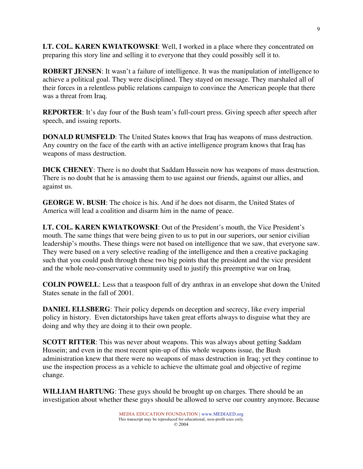**LT. COL. KAREN KWIATKOWSKI**: Well, I worked in a place where they concentrated on preparing this story line and selling it to everyone that they could possibly sell it to.

**ROBERT JENSEN**: It wasn't a failure of intelligence. It was the manipulation of intelligence to achieve a political goal. They were disciplined. They stayed on message. They marshaled all of their forces in a relentless public relations campaign to convince the American people that there was a threat from Iraq.

**REPORTER:** It's day four of the Bush team's full-court press. Giving speech after speech after speech, and issuing reports.

**DONALD RUMSFELD:** The United States knows that Iraq has weapons of mass destruction. Any country on the face of the earth with an active intelligence program knows that Iraq has weapons of mass destruction.

**DICK CHENEY**: There is no doubt that Saddam Hussein now has weapons of mass destruction. There is no doubt that he is amassing them to use against our friends, against our allies, and against us.

**GEORGE W. BUSH**: The choice is his. And if he does not disarm, the United States of America will lead a coalition and disarm him in the name of peace.

**LT. COL. KAREN KWIATKOWSKI**: Out of the President's mouth, the Vice President's mouth. The same things that were being given to us to put in our superiors, our senior civilian leadership's mouths. These things were not based on intelligence that we saw, that everyone saw. They were based on a very selective reading of the intelligence and then a creative packaging such that you could push through these two big points that the president and the vice president and the whole neo-conservative community used to justify this preemptive war on Iraq.

**COLIN POWELL**: Less that a teaspoon full of dry anthrax in an envelope shut down the United States senate in the fall of 2001.

**DANIEL ELLSBERG**: Their policy depends on deception and secrecy, like every imperial policy in history. Even dictatorships have taken great efforts always to disguise what they are doing and why they are doing it to their own people.

**SCOTT RITTER**: This was never about weapons. This was always about getting Saddam Hussein; and even in the most recent spin-up of this whole weapons issue, the Bush administration knew that there were no weapons of mass destruction in Iraq; yet they continue to use the inspection process as a vehicle to achieve the ultimate goal and objective of regime change.

**WILLIAM HARTUNG**: These guys should be brought up on charges. There should be an investigation about whether these guys should be allowed to serve our country anymore. Because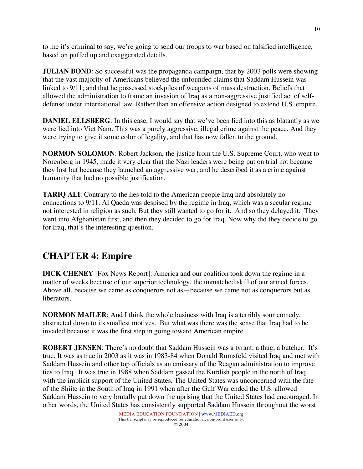to me it's criminal to say, we're going to send our troops to war based on falsified intelligence, based on puffed up and exaggerated details.

**JULIAN BOND**: So successful was the propaganda campaign, that by 2003 polls were showing that the vast majority of Americans believed the unfounded claims that Saddam Hussein was linked to 9/11; and that he possessed stockpiles of weapons of mass destruction. Beliefs that allowed the administration to frame an invasion of Iraq as a non-aggressive justified act of selfdefense under international law. Rather than an offensive action designed to extend U.S. empire.

**DANIEL ELLSBERG**: In this case, I would say that we've been lied into this as blatantly as we were lied into Viet Nam. This was a purely aggressive, illegal crime against the peace. And they were trying to give it some color of legality, and that has now fallen to the ground.

**NORMON SOLOMON**: Robert Jackson, the justice from the U.S. Supreme Court, who went to Norenberg in 1945, made it very clear that the Nazi leaders were being put on trial not because they lost but because they launched an aggressive war, and he described it as a crime against humanity that had no possible justification.

**TARIQ ALI**: Contrary to the lies told to the American people Iraq had absolutely no connections to 9/11. Al Qaeda was despised by the regime in Iraq, which was a secular regime not interested in religion as such. But they still wanted to go for it. And so they delayed it. They went into Afghanistan first, and then they decided to go for Iraq. Now why did they decide to go for Iraq, that's the interesting question.

# **CHAPTER 4: Empire**

**DICK CHENEY** [Fox News Report]: America and our coalition took down the regime in a matter of weeks because of our superior technology, the unmatched skill of our armed forces. Above all, because we came as conquerors not as—because we came not as conquerors but as liberators.

**NORMON MAILER**: And I think the whole business with Iraq is a terribly sour comedy, abstracted down to its smallest motives. But what was there was the sense that Iraq had to be invaded because it was the first step in going toward American empire.

**ROBERT JENSEN**: There's no doubt that Saddam Hussein was a tyrant, a thug, a butcher. It's true. It was as true in 2003 as it was in 1983-84 when Donald Rumsfeld visited Iraq and met with Saddam Hussein and other top officials as an emissary of the Reagan administration to improve ties to Iraq. It was true in 1988 when Saddam gassed the Kurdish people in the north of Iraq with the implicit support of the United States. The United States was unconcerned with the fate of the Shiite in the South of Iraq in 1991 when after the Gulf War ended the U.S. allowed Saddam Hussein to very brutally put down the uprising that the United States had encouraged. In other words, the United States has consistently supported Saddam Hussein throughout the worst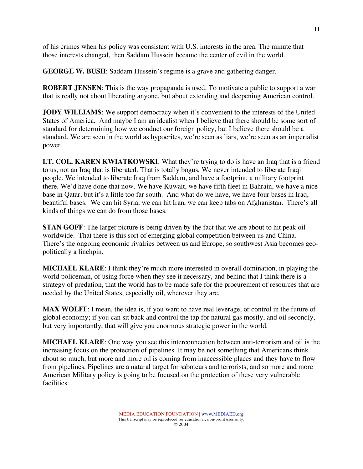of his crimes when his policy was consistent with U.S. interests in the area. The minute that those interests changed, then Saddam Hussein became the center of evil in the world.

**GEORGE W. BUSH**: Saddam Hussein's regime is a grave and gathering danger.

**ROBERT JENSEN**: This is the way propaganda is used. To motivate a public to support a war that is really not about liberating anyone, but about extending and deepening American control.

**JODY WILLIAMS**: We support democracy when it's convenient to the interests of the United States of America. And maybe I am an idealist when I believe that there should be some sort of standard for determining how we conduct our foreign policy, but I believe there should be a standard. We are seen in the world as hypocrites, we're seen as liars, we're seen as an imperialist power.

**LT. COL. KAREN KWIATKOWSKI**: What they're trying to do is have an Iraq that is a friend to us, not an Iraq that is liberated. That is totally bogus. We never intended to liberate Iraqi people. We intended to liberate Iraq from Saddam, and have a footprint, a military footprint there. We'd have done that now. We have Kuwait, we have fifth fleet in Bahrain, we have a nice base in Qatar, but it's a little too far south. And what do we have, we have four bases in Iraq, beautiful bases. We can hit Syria, we can hit Iran, we can keep tabs on Afghanistan. There's all kinds of things we can do from those bases.

**STAN GOFF**: The larger picture is being driven by the fact that we are about to hit peak oil worldwide. That there is this sort of emerging global competition between us and China. There's the ongoing economic rivalries between us and Europe, so southwest Asia becomes geopolitically a linchpin.

**MICHAEL KLARE**: I think they're much more interested in overall domination, in playing the world policeman, of using force when they see it necessary, and behind that I think there is a strategy of predation, that the world has to be made safe for the procurement of resources that are needed by the United States, especially oil, wherever they are.

**MAX WOLFF**: I mean, the idea is, if you want to have real leverage, or control in the future of global economy; if you can sit back and control the tap for natural gas mostly, and oil secondly, but very importantly, that will give you enormous strategic power in the world.

**MICHAEL KLARE**: One way you see this interconnection between anti-terrorism and oil is the increasing focus on the protection of pipelines. It may be not something that Americans think about so much, but more and more oil is coming from inaccessible places and they have to flow from pipelines. Pipelines are a natural target for saboteurs and terrorists, and so more and more American Military policy is going to be focused on the protection of these very vulnerable facilities.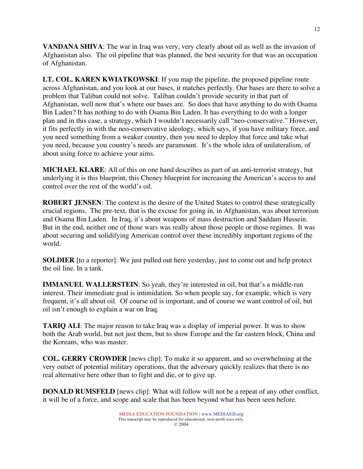**VANDANA SHIVA**: The war in Iraq was very, very clearly about oil as well as the invasion of Afghanistan also. The oil pipeline that was planned, the best security for that was an occupation of Afghanistan.

**LT. COL. KAREN KWIATKOWSKI**: If you map the pipeline, the proposed pipeline route across Afghanistan, and you look at our bases, it matches perfectly. Our bases are there to solve a problem that Taliban could not solve. Taliban couldn't provide security in that part of Afghanistan, well now that's where our bases are. So does that have anything to do with Osama Bin Laden? It has nothing to do with Osama Bin Laden. It has everything to do with a longer plan and in this case, a strategy, which I wouldn't necessarily call "neo-conservative." However, it fits perfectly in with the neo-conservative ideology, which says, if you have military force, and you need something from a weaker country, then you need to deploy that force and take what you need, because you country's needs are paramount. It's the whole idea of unilateralism, of about using force to achieve your aims.

**MICHAEL KLARE**: All of this on one hand describes as part of an anti-terrorist strategy, but underlying it is this blueprint, this Cheney blueprint for increasing the American's access to and control over the rest of the world's oil.

**ROBERT JENSEN**: The context is the desire of the United States to control these strategically crucial regions. The pre-text, that is the excuse for going in, in Afghanistan, was about terrorism and Osama Bin Laden. In Iraq, it's about weapons of mass destruction and Saddam Hussein. But in the end, neither one of those wars was really about those people or those regimes. It was about securing and solidifying American control over these incredibly important regions of the world.

**SOLDIER** [to a reporter]: We just pulled out here yesterday, just to come out and help protect the oil line. In a tank.

**IMMANUEL WALLERSTEIN:** So yeah, they're interested in oil, but that's a middle-run interest. Their immediate goal is intimidation. So when people say, for example, which is very frequent, it's all about oil. Of course oil is important, and of course we want control of oil, but oil isn't enough to explain a war on Iraq.

**TARIQ ALI**: The major reason to take Iraq was a display of imperial power. It was to show both the Arab world, but not just them, but to show Europe and the far eastern block, China and the Koreans, who was master.

**COL. GERRY CROWDER** [news clip]: To make it so apparent, and so overwhelming at the very outset of potential military operations, that the adversary quickly realizes that there is no real alternative here other than to fight and die, or to give up.

**DONALD RUMSFELD** [news clip]: What will follow will not be a repeat of any other conflict, it will be of a force, and scope and scale that has been beyond what has been seen before.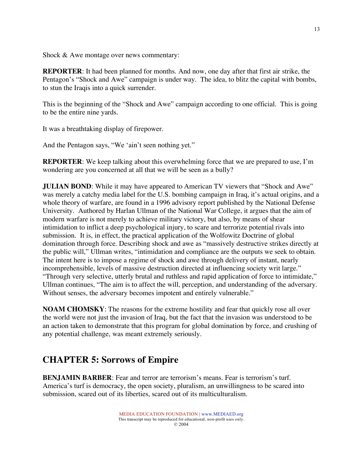Shock & Awe montage over news commentary:

**REPORTER**: It had been planned for months. And now, one day after that first air strike, the Pentagon's "Shock and Awe" campaign is under way. The idea, to blitz the capital with bombs, to stun the Iraqis into a quick surrender.

This is the beginning of the "Shock and Awe" campaign according to one official. This is going to be the entire nine yards.

It was a breathtaking display of firepower.

And the Pentagon says, "We 'ain't seen nothing yet."

**REPORTER**: We keep talking about this overwhelming force that we are prepared to use, I'm wondering are you concerned at all that we will be seen as a bully?

**JULIAN BOND**: While it may have appeared to American TV viewers that "Shock and Awe" was merely a catchy media label for the U.S. bombing campaign in Iraq, it's actual origins, and a whole theory of warfare, are found in a 1996 advisory report published by the National Defense University. Authored by Harlan Ullman of the National War College, it argues that the aim of modern warfare is not merely to achieve military victory, but also, by means of shear intimidation to inflict a deep psychological injury, to scare and terrorize potential rivals into submission. It is, in effect, the practical application of the Wolfowitz Doctrine of global domination through force. Describing shock and awe as "massively destructive strikes directly at the public will," Ullman writes, "intimidation and compliance are the outputs we seek to obtain. The intent here is to impose a regime of shock and awe through delivery of instant, nearly incomprehensible, levels of massive destruction directed at influencing society writ large." "Through very selective, utterly brutal and ruthless and rapid application of force to intimidate," Ullman continues, "The aim is to affect the will, perception, and understanding of the adversary. Without senses, the adversary becomes impotent and entirely vulnerable."

**NOAM CHOMSKY**: The reasons for the extreme hostility and fear that quickly rose all over the world were not just the invasion of Iraq, but the fact that the invasion was understood to be an action taken to demonstrate that this program for global domination by force, and crushing of any potential challenge, was meant extremely seriously.

# **CHAPTER 5: Sorrows of Empire**

**BENJAMIN BARBER**: Fear and terror are terrorism's means. Fear is terrorism's turf. America's turf is democracy, the open society, pluralism, an unwillingness to be scared into submission, scared out of its liberties, scared out of its multiculturalism.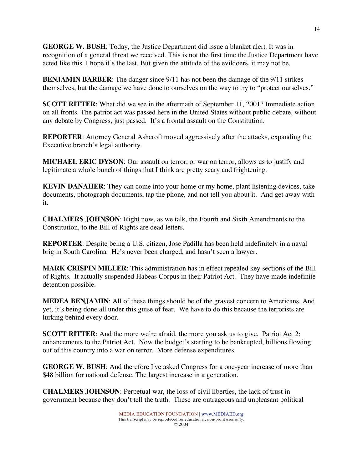**GEORGE W. BUSH**: Today, the Justice Department did issue a blanket alert. It was in recognition of a general threat we received. This is not the first time the Justice Department have acted like this. I hope it's the last. But given the attitude of the evildoers, it may not be.

**BENJAMIN BARBER**: The danger since 9/11 has not been the damage of the 9/11 strikes themselves, but the damage we have done to ourselves on the way to try to "protect ourselves."

**SCOTT RITTER**: What did we see in the aftermath of September 11, 2001? Immediate action on all fronts. The patriot act was passed here in the United States without public debate, without any debate by Congress, just passed. It's a frontal assault on the Constitution.

**REPORTER**: Attorney General Ashcroft moved aggressively after the attacks, expanding the Executive branch's legal authority.

**MICHAEL ERIC DYSON**: Our assault on terror, or war on terror, allows us to justify and legitimate a whole bunch of things that I think are pretty scary and frightening.

**KEVIN DANAHER**: They can come into your home or my home, plant listening devices, take documents, photograph documents, tap the phone, and not tell you about it. And get away with it.

**CHALMERS JOHNSON**: Right now, as we talk, the Fourth and Sixth Amendments to the Constitution, to the Bill of Rights are dead letters.

**REPORTER**: Despite being a U.S. citizen, Jose Padilla has been held indefinitely in a naval brig in South Carolina. He's never been charged, and hasn't seen a lawyer.

**MARK CRISPIN MILLER**: This administration has in effect repealed key sections of the Bill of Rights. It actually suspended Habeas Corpus in their Patriot Act. They have made indefinite detention possible.

**MEDEA BENJAMIN**: All of these things should be of the gravest concern to Americans. And yet, it's being done all under this guise of fear. We have to do this because the terrorists are lurking behind every door.

**SCOTT RITTER:** And the more we're afraid, the more you ask us to give. Patriot Act 2; enhancements to the Patriot Act. Now the budget's starting to be bankrupted, billions flowing out of this country into a war on terror. More defense expenditures.

**GEORGE W. BUSH**: And therefore I've asked Congress for a one-year increase of more than \$48 billion for national defense. The largest increase in a generation.

**CHALMERS JOHNSON**: Perpetual war, the loss of civil liberties, the lack of trust in government because they don't tell the truth. These are outrageous and unpleasant political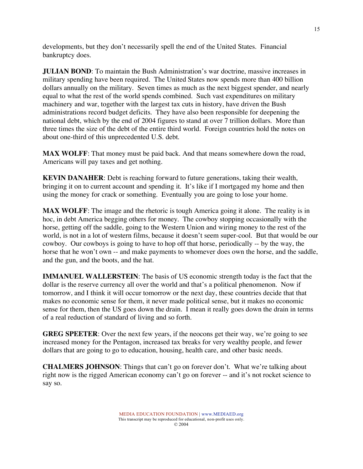developments, but they don't necessarily spell the end of the United States. Financial bankruptcy does.

**JULIAN BOND**: To maintain the Bush Administration's war doctrine, massive increases in military spending have been required. The United States now spends more than 400 billion dollars annually on the military. Seven times as much as the next biggest spender, and nearly equal to what the rest of the world spends combined. Such vast expenditures on military machinery and war, together with the largest tax cuts in history, have driven the Bush administrations record budget deficits. They have also been responsible for deepening the national debt, which by the end of 2004 figures to stand at over 7 trillion dollars. More than three times the size of the debt of the entire third world. Foreign countries hold the notes on about one-third of this unprecedented U.S. debt.

**MAX WOLFF**: That money must be paid back. And that means somewhere down the road, Americans will pay taxes and get nothing.

**KEVIN DANAHER**: Debt is reaching forward to future generations, taking their wealth, bringing it on to current account and spending it. It's like if I mortgaged my home and then using the money for crack or something. Eventually you are going to lose your home.

**MAX WOLFF**: The image and the rhetoric is tough America going it alone. The reality is in hoc, in debt America begging others for money. The cowboy stopping occasionally with the horse, getting off the saddle, going to the Western Union and wiring money to the rest of the world, is not in a lot of western films, because it doesn't seem super-cool. But that would be our cowboy. Our cowboys is going to have to hop off that horse, periodically -- by the way, the horse that he won't own -- and make payments to whomever does own the horse, and the saddle, and the gun, and the boots, and the hat.

**IMMANUEL WALLERSTEIN**: The basis of US economic strength today is the fact that the dollar is the reserve currency all over the world and that's a political phenomenon. Now if tomorrow, and I think it will occur tomorrow or the next day, these countries decide that that makes no economic sense for them, it never made political sense, but it makes no economic sense for them, then the US goes down the drain. I mean it really goes down the drain in terms of a real reduction of standard of living and so forth.

**GREG SPEETER**: Over the next few years, if the neocons get their way, we're going to see increased money for the Pentagon, increased tax breaks for very wealthy people, and fewer dollars that are going to go to education, housing, health care, and other basic needs.

**CHALMERS JOHNSON**: Things that can't go on forever don't. What we're talking about right now is the rigged American economy can't go on forever -- and it's not rocket science to say so.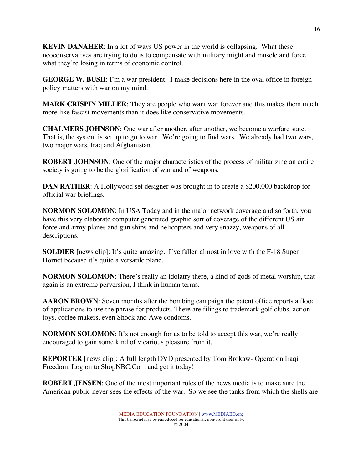**KEVIN DANAHER**: In a lot of ways US power in the world is collapsing. What these neoconservatives are trying to do is to compensate with military might and muscle and force what they're losing in terms of economic control.

**GEORGE W. BUSH**: I'm a war president. I make decisions here in the oval office in foreign policy matters with war on my mind.

**MARK CRISPIN MILLER**: They are people who want war forever and this makes them much more like fascist movements than it does like conservative movements.

**CHALMERS JOHNSON**: One war after another, after another, we become a warfare state. That is, the system is set up to go to war. We're going to find wars. We already had two wars, two major wars, Iraq and Afghanistan.

**ROBERT JOHNSON**: One of the major characteristics of the process of militarizing an entire society is going to be the glorification of war and of weapons.

**DAN RATHER**: A Hollywood set designer was brought in to create a \$200,000 backdrop for official war briefings.

**NORMON SOLOMON**: In USA Today and in the major network coverage and so forth, you have this very elaborate computer generated graphic sort of coverage of the different US air force and army planes and gun ships and helicopters and very snazzy, weapons of all descriptions.

**SOLDIER** [news clip]: It's quite amazing. I've fallen almost in love with the F-18 Super Hornet because it's quite a versatile plane.

**NORMON SOLOMON**: There's really an idolatry there, a kind of gods of metal worship, that again is an extreme perversion, I think in human terms.

**AARON BROWN**: Seven months after the bombing campaign the patent office reports a flood of applications to use the phrase for products. There are filings to trademark golf clubs, action toys, coffee makers, even Shock and Awe condoms.

**NORMON SOLOMON:** It's not enough for us to be told to accept this war, we're really encouraged to gain some kind of vicarious pleasure from it.

**REPORTER** [news clip]: A full length DVD presented by Tom Brokaw- Operation Iraqi Freedom. Log on to ShopNBC.Com and get it today!

**ROBERT JENSEN**: One of the most important roles of the news media is to make sure the American public never sees the effects of the war. So we see the tanks from which the shells are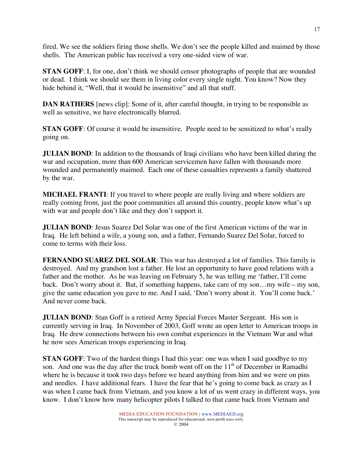fired. We see the soldiers firing those shells. We don't see the people killed and maimed by those shells. The American public has received a very one-sided view of war.

**STAN GOFF:** I, for one, don't think we should censor photographs of people that are wounded or dead. I think we should see them in living color every single night. You know? Now they hide behind it, "Well, that it would be insensitive" and all that stuff.

**DAN RATHERS** [news clip]: Some of it, after careful thought, in trying to be responsible as well as sensitive, we have electronically blurred.

**STAN GOFF**: Of course it would be insensitive. People need to be sensitized to what's really going on.

**JULIAN BOND**: In addition to the thousands of Iraqi civilians who have been killed during the war and occupation, more than 600 American servicemen have fallen with thousands more wounded and permanently maimed. Each one of these casualties represents a family shattered by the war.

**MICHAEL FRANTI**: If you travel to where people are really living and where soldiers are really coming from, just the poor communities all around this country, people know what's up with war and people don't like and they don't support it.

**JULIAN BOND**: Jesus Suarez Del Solar was one of the first American victims of the war in Iraq. He left behind a wife, a young son, and a father, Fernando Suarez Del Solar, forced to come to terms with their loss.

**FERNANDO SUAREZ DEL SOLAR**: This war has destroyed a lot of families. This family is destroyed. And my grandson lost a father. He lost an opportunity to have good relations with a father and the mother. As he was leaving on February 5, he was telling me 'father, I'll come back. Don't worry about it. But, if something happens, take care of my son…my wife – my son, give the same education you gave to me. And I said, 'Don't worry about it. You'll come back.' And never come back.

**JULIAN BOND**: Stan Goff is a retired Army Special Forces Master Sergeant. His son is currently serving in Iraq. In November of 2003, Goff wrote an open letter to American troops in Iraq. He drew connections between his own combat experiences in the Vietnam War and what he now sees American troops experiencing in Iraq.

**STAN GOFF**: Two of the hardest things I had this year: one was when I said goodbye to my son. And one was the day after the truck bomb went off on the  $11<sup>th</sup>$  of December in Ramadhi where he is because it took two days before we heard anything from him and we were on pins and needles. I have additional fears. I have the fear that he's going to come back as crazy as I was when I came back from Vietnam, and you know a lot of us went crazy in different ways, you know. I don't know how many helicopter pilots I talked to that came back from Vietnam and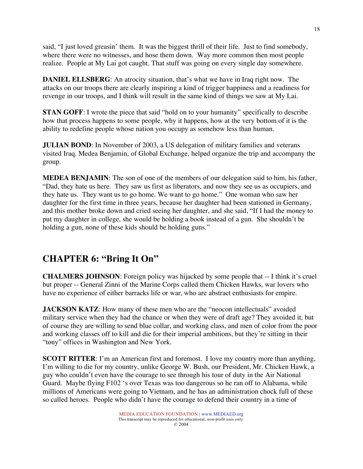said, "I just loved greasin' them. It was the biggest thrill of their life. Just to find somebody, where there were no witnesses, and hose them down. Way more common then most people realize. People at My Lai got caught. That stuff was going on every single day somewhere.

**DANIEL ELLSBERG**: An atrocity situation, that's what we have in Iraq right now. The attacks on our troops there are clearly inspiring a kind of trigger happiness and a readiness for revenge in our troops, and I think will result in the same kind of things we saw at My Lai.

**STAN GOFF:** I wrote the piece that said "hold on to your humanity" specifically to describe how that process happens to some people, why it happens, how at the very bottom of it is the ability to redefine people whose nation you occupy as somehow less than human.

**JULIAN BOND**: In November of 2003, a US delegation of military families and veterans visited Iraq. Medea Benjamin, of Global Exchange, helped organize the trip and accompany the group.

**MEDEA BENJAMIN**: The son of one of the members of our delegation said to him, his father, "Dad, they hate us here. They saw us first as liberators, and now they see us as occupiers, and they hate us. They want us to go home. We want to go home." One woman who saw her daughter for the first time in three years, because her daughter had been stationed in Germany, and this mother broke down and cried seeing her daughter, and she said, "If I had the money to put my daughter in college, she would be holding a book instead of a gun. She shouldn't be holding a gun, none of these kids should be holding guns."

# **CHAPTER 6: "Bring It On"**

**CHALMERS JOHNSON**: Foreign policy was hijacked by some people that -- I think it's cruel but proper -- General Zinni of the Marine Corps called them Chicken Hawks, war lovers who have no experience of either barracks life or war, who are abstract enthusiasts for empire.

**JACKSON KATZ:** How many of these men who are the "neocon intellectuals" avoided military service when they had the chance or when they were of draft age? They avoided it, but of course they are willing to send blue collar, and working class, and men of color from the poor and working classes off to kill and die for their imperial ambitions, but they're sitting in their "tony" offices in Washington and New York.

**SCOTT RITTER:** I'm an American first and foremost. I love my country more than anything, I'm willing to die for my country, unlike George W. Bush, our President, Mr. Chicken Hawk, a guy who couldn't even have the courage to see through his tour of duty in the Air National Guard. Maybe flying F102 's over Texas was too dangerous so he ran off to Alabama, while millions of Americans were going to Vietnam, and he has an administration chock full of these so called heroes. People who didn't have the courage to defend their country in a time of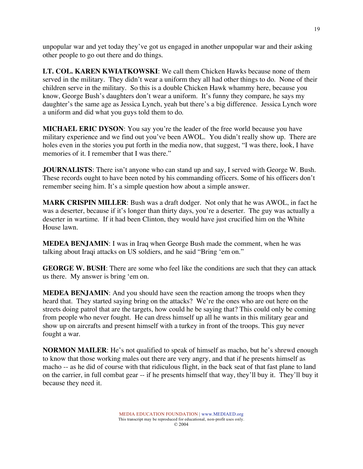unpopular war and yet today they've got us engaged in another unpopular war and their asking other people to go out there and do things.

**LT. COL. KAREN KWIATKOWSKI**: We call them Chicken Hawks because none of them served in the military. They didn't wear a uniform they all had other things to do. None of their children serve in the military. So this is a double Chicken Hawk whammy here, because you know, George Bush's daughters don't wear a uniform. It's funny they compare, he says my daughter's the same age as Jessica Lynch, yeah but there's a big difference. Jessica Lynch wore a uniform and did what you guys told them to do.

**MICHAEL ERIC DYSON**: You say you're the leader of the free world because you have military experience and we find out you've been AWOL. You didn't really show up. There are holes even in the stories you put forth in the media now, that suggest, "I was there, look, I have memories of it. I remember that I was there."

**JOURNALISTS**: There isn't anyone who can stand up and say, I served with George W. Bush. These records ought to have been noted by his commanding officers. Some of his officers don't remember seeing him. It's a simple question how about a simple answer.

**MARK CRISPIN MILLER**: Bush was a draft dodger. Not only that he was AWOL, in fact he was a deserter, because if it's longer than thirty days, you're a deserter. The guy was actually a deserter in wartime. If it had been Clinton, they would have just crucified him on the White House lawn.

**MEDEA BENJAMIN**: I was in Iraq when George Bush made the comment, when he was talking about Iraqi attacks on US soldiers, and he said "Bring 'em on."

**GEORGE W. BUSH**: There are some who feel like the conditions are such that they can attack us there. My answer is bring 'em on.

**MEDEA BENJAMIN**: And you should have seen the reaction among the troops when they heard that. They started saying bring on the attacks? We're the ones who are out here on the streets doing patrol that are the targets, how could he be saying that? This could only be coming from people who never fought. He can dress himself up all he wants in this military gear and show up on aircrafts and present himself with a turkey in front of the troops. This guy never fought a war.

**NORMON MAILER**: He's not qualified to speak of himself as macho, but he's shrewd enough to know that those working males out there are very angry, and that if he presents himself as macho -- as he did of course with that ridiculous flight, in the back seat of that fast plane to land on the carrier, in full combat gear -- if he presents himself that way, they'll buy it. They'll buy it because they need it.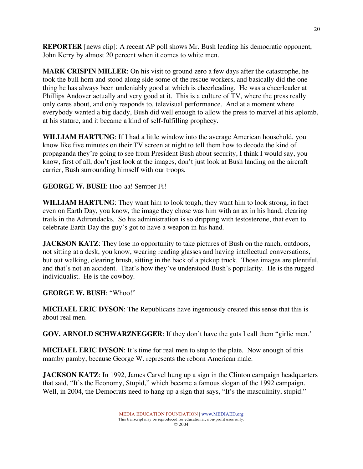**REPORTER** [news clip]: A recent AP poll shows Mr. Bush leading his democratic opponent, John Kerry by almost 20 percent when it comes to white men.

**MARK CRISPIN MILLER**: On his visit to ground zero a few days after the catastrophe, he took the bull horn and stood along side some of the rescue workers, and basically did the one thing he has always been undeniably good at which is cheerleading. He was a cheerleader at Phillips Andover actually and very good at it. This is a culture of TV, where the press really only cares about, and only responds to, televisual performance. And at a moment where everybody wanted a big daddy, Bush did well enough to allow the press to marvel at his aplomb, at his stature, and it became a kind of self-fulfilling prophecy.

**WILLIAM HARTUNG**: If I had a little window into the average American household, you know like five minutes on their TV screen at night to tell them how to decode the kind of propaganda they're going to see from President Bush about security, I think I would say, you know, first of all, don't just look at the images, don't just look at Bush landing on the aircraft carrier, Bush surrounding himself with our troops.

#### **GEORGE W. BUSH**: Hoo-aa! Semper Fi!

**WILLIAM HARTUNG**: They want him to look tough, they want him to look strong, in fact even on Earth Day, you know, the image they chose was him with an ax in his hand, clearing trails in the Adirondacks. So his administration is so dripping with testosterone, that even to celebrate Earth Day the guy's got to have a weapon in his hand.

**JACKSON KATZ:** They lose no opportunity to take pictures of Bush on the ranch, outdoors, not sitting at a desk, you know, wearing reading glasses and having intellectual conversations, but out walking, clearing brush, sitting in the back of a pickup truck. Those images are plentiful, and that's not an accident. That's how they've understood Bush's popularity. He is the rugged individualist. He is the cowboy.

**GEORGE W. BUSH**: "Whoo!"

**MICHAEL ERIC DYSON**: The Republicans have ingeniously created this sense that this is about real men.

**GOV. ARNOLD SCHWARZNEGGER**: If they don't have the guts I call them "girlie men.'

**MICHAEL ERIC DYSON**: It's time for real men to step to the plate. Now enough of this mamby pamby, because George W. represents the reborn American male.

**JACKSON KATZ:** In 1992, James Carvel hung up a sign in the Clinton campaign headquarters that said, "It's the Economy, Stupid," which became a famous slogan of the 1992 campaign. Well, in 2004, the Democrats need to hang up a sign that says, "It's the masculinity, stupid."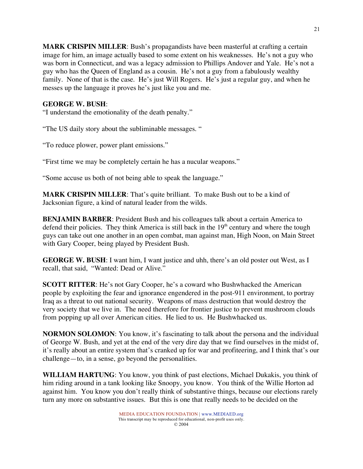**MARK CRISPIN MILLER**: Bush's propagandists have been masterful at crafting a certain image for him, an image actually based to some extent on his weaknesses. He's not a guy who was born in Connecticut, and was a legacy admission to Phillips Andover and Yale. He's not a guy who has the Queen of England as a cousin. He's not a guy from a fabulously wealthy family. None of that is the case. He's just Will Rogers. He's just a regular guy, and when he messes up the language it proves he's just like you and me.

#### **GEORGE W. BUSH**:

"I understand the emotionality of the death penalty."

"The US daily story about the subliminable messages. "

"To reduce plower, power plant emissions."

"First time we may be completely certain he has a nucular weapons."

"Some accuse us both of not being able to speak the language."

**MARK CRISPIN MILLER**: That's quite brilliant. To make Bush out to be a kind of Jacksonian figure, a kind of natural leader from the wilds.

**BENJAMIN BARBER**: President Bush and his colleagues talk about a certain America to defend their policies. They think America is still back in the  $19<sup>th</sup>$  century and where the tough guys can take out one another in an open combat, man against man, High Noon, on Main Street with Gary Cooper, being played by President Bush.

**GEORGE W. BUSH**: I want him, I want justice and uhh, there's an old poster out West, as I recall, that said, "Wanted: Dead or Alive."

**SCOTT RITTER**: He's not Gary Cooper, he's a coward who Bushwhacked the American people by exploiting the fear and ignorance engendered in the post-911 environment, to portray Iraq as a threat to out national security. Weapons of mass destruction that would destroy the very society that we live in. The need therefore for frontier justice to prevent mushroom clouds from popping up all over American cities. He lied to us. He Bushwhacked us.

**NORMON SOLOMON**: You know, it's fascinating to talk about the persona and the individual of George W. Bush, and yet at the end of the very dire day that we find ourselves in the midst of, it's really about an entire system that's cranked up for war and profiteering, and I think that's our challenge—to, in a sense, go beyond the personalities.

**WILLIAM HARTUNG**: You know, you think of past elections, Michael Dukakis, you think of him riding around in a tank looking like Snoopy, you know. You think of the Willie Horton ad against him. You know you don't really think of substantive things, because our elections rarely turn any more on substantive issues. But this is one that really needs to be decided on the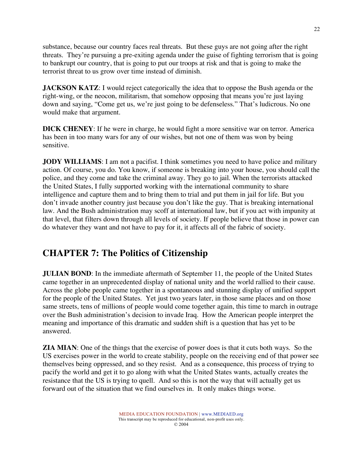substance, because our country faces real threats. But these guys are not going after the right threats. They're pursuing a pre-exiting agenda under the guise of fighting terrorism that is going to bankrupt our country, that is going to put our troops at risk and that is going to make the terrorist threat to us grow over time instead of diminish.

**JACKSON KATZ:** I would reject categorically the idea that to oppose the Bush agenda or the right-wing, or the neocon, militarism, that somehow opposing that means you're just laying down and saying, "Come get us, we're just going to be defenseless." That's ludicrous. No one would make that argument.

**DICK CHENEY**: If he were in charge, he would fight a more sensitive war on terror. America has been in too many wars for any of our wishes, but not one of them was won by being sensitive.

**JODY WILLIAMS**: I am not a pacifist. I think sometimes you need to have police and military action. Of course, you do. You know, if someone is breaking into your house, you should call the police, and they come and take the criminal away. They go to jail. When the terrorists attacked the United States, I fully supported working with the international community to share intelligence and capture them and to bring them to trial and put them in jail for life. But you don't invade another country just because you don't like the guy. That is breaking international law. And the Bush administration may scoff at international law, but if you act with impunity at that level, that filters down through all levels of society. If people believe that those in power can do whatever they want and not have to pay for it, it affects all of the fabric of society.

# **CHAPTER 7: The Politics of Citizenship**

**JULIAN BOND**: In the immediate aftermath of September 11, the people of the United States came together in an unprecedented display of national unity and the world rallied to their cause. Across the globe people came together in a spontaneous and stunning display of unified support for the people of the United States. Yet just two years later, in those same places and on those same streets, tens of millions of people would come together again, this time to march in outrage over the Bush administration's decision to invade Iraq. How the American people interpret the meaning and importance of this dramatic and sudden shift is a question that has yet to be answered.

**ZIA MIAN**: One of the things that the exercise of power does is that it cuts both ways. So the US exercises power in the world to create stability, people on the receiving end of that power see themselves being oppressed, and so they resist. And as a consequence, this process of trying to pacify the world and get it to go along with what the United States wants, actually creates the resistance that the US is trying to quell. And so this is not the way that will actually get us forward out of the situation that we find ourselves in. It only makes things worse.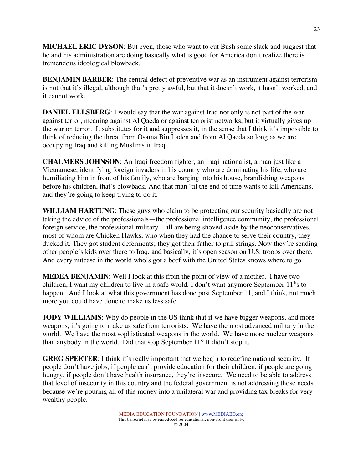**MICHAEL ERIC DYSON**: But even, those who want to cut Bush some slack and suggest that he and his administration are doing basically what is good for America don't realize there is tremendous ideological blowback.

**BENJAMIN BARBER**: The central defect of preventive war as an instrument against terrorism is not that it's illegal, although that's pretty awful, but that it doesn't work, it hasn't worked, and it cannot work.

**DANIEL ELLSBERG**: I would say that the war against Iraq not only is not part of the war against terror, meaning against Al Qaeda or against terrorist networks, but it virtually gives up the war on terror. It substitutes for it and suppresses it, in the sense that I think it's impossible to think of reducing the threat from Osama Bin Laden and from Al Qaeda so long as we are occupying Iraq and killing Muslims in Iraq.

**CHALMERS JOHNSON**: An Iraqi freedom fighter, an Iraqi nationalist, a man just like a Vietnamese, identifying foreign invaders in his country who are dominating his life, who are humiliating him in front of his family, who are barging into his house, brandishing weapons before his children, that's blowback. And that man 'til the end of time wants to kill Americans, and they're going to keep trying to do it.

**WILLIAM HARTUNG**: These guys who claim to be protecting our security basically are not taking the advice of the professionals—the professional intelligence community, the professional foreign service, the professional military—all are being shoved aside by the neoconservatives, most of whom are Chicken Hawks, who when they had the chance to serve their country, they ducked it. They got student deferments; they got their father to pull strings. Now they're sending other people's kids over there to Iraq, and basically, it's open season on U.S. troops over there. And every nutcase in the world who's got a beef with the United States knows where to go.

**MEDEA BENJAMIN**: Well I look at this from the point of view of a mother. I have two children, I want my children to live in a safe world. I don't want anymore September  $11<sup>th</sup>$ s to happen. And I look at what this government has done post September 11, and I think, not much more you could have done to make us less safe.

**JODY WILLIAMS**: Why do people in the US think that if we have bigger weapons, and more weapons, it's going to make us safe from terrorists. We have the most advanced military in the world. We have the most sophisticated weapons in the world. We have more nuclear weapons than anybody in the world. Did that stop September 11? It didn't stop it.

**GREG SPEETER**: I think it's really important that we begin to redefine national security. If people don't have jobs, if people can't provide education for their children, if people are going hungry, if people don't have health insurance, they're insecure. We need to be able to address that level of insecurity in this country and the federal government is not addressing those needs because we're pouring all of this money into a unilateral war and providing tax breaks for very wealthy people.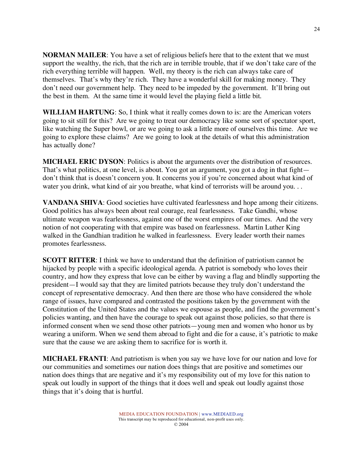**NORMAN MAILER**: You have a set of religious beliefs here that to the extent that we must support the wealthy, the rich, that the rich are in terrible trouble, that if we don't take care of the rich everything terrible will happen. Well, my theory is the rich can always take care of themselves. That's why they're rich. They have a wonderful skill for making money. They don't need our government help. They need to be impeded by the government. It'll bring out the best in them. At the same time it would level the playing field a little bit.

**WILLIAM HARTUNG**: So, I think what it really comes down to is: are the American voters going to sit still for this? Are we going to treat our democracy like some sort of spectator sport, like watching the Super bowl, or are we going to ask a little more of ourselves this time. Are we going to explore these claims? Are we going to look at the details of what this administration has actually done?

**MICHAEL ERIC DYSON**: Politics is about the arguments over the distribution of resources. That's what politics, at one level, is about. You got an argument, you got a dog in that fight don't think that is doesn't concern you. It concerns you if you're concerned about what kind of water you drink, what kind of air you breathe, what kind of terrorists will be around you...

**VANDANA SHIVA**: Good societies have cultivated fearlessness and hope among their citizens. Good politics has always been about real courage, real fearlessness. Take Gandhi, whose ultimate weapon was fearlessness, against one of the worst empires of our times. And the very notion of not cooperating with that empire was based on fearlessness. Martin Luther King walked in the Gandhian tradition he walked in fearlessness. Every leader worth their names promotes fearlessness.

**SCOTT RITTER**: I think we have to understand that the definition of patriotism cannot be hijacked by people with a specific ideological agenda. A patriot is somebody who loves their country, and how they express that love can be either by waving a flag and blindly supporting the president—I would say that they are limited patriots because they truly don't understand the concept of representative democracy. And then there are those who have considered the whole range of issues, have compared and contrasted the positions taken by the government with the Constitution of the United States and the values we espouse as people, and find the government's policies wanting, and then have the courage to speak out against those policies, so that there is informed consent when we send those other patriots—young men and women who honor us by wearing a uniform. When we send them abroad to fight and die for a cause, it's patriotic to make sure that the cause we are asking them to sacrifice for is worth it.

**MICHAEL FRANTI**: And patriotism is when you say we have love for our nation and love for our communities and sometimes our nation does things that are positive and sometimes our nation does things that are negative and it's my responsibility out of my love for this nation to speak out loudly in support of the things that it does well and speak out loudly against those things that it's doing that is hurtful.